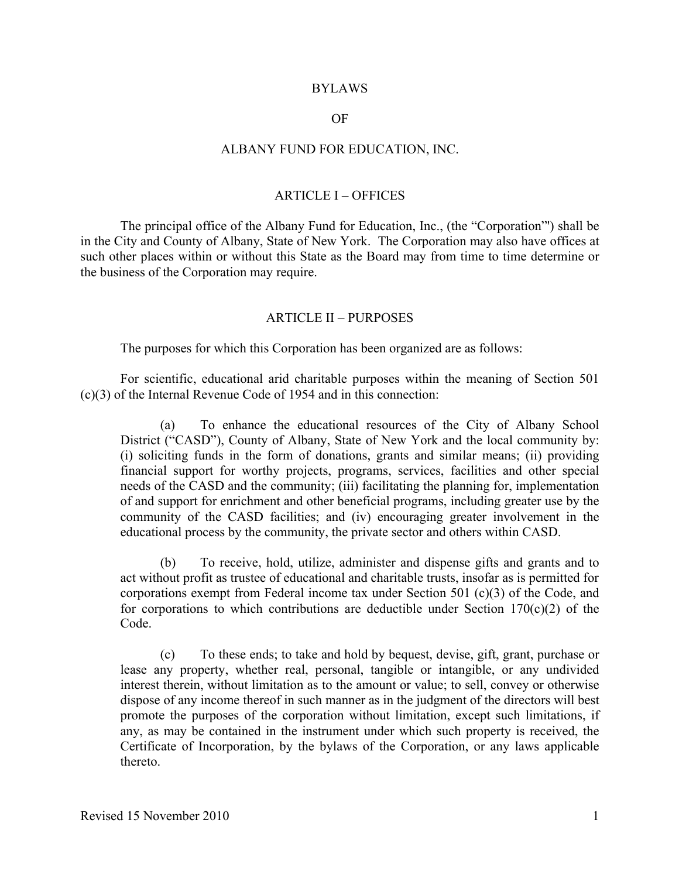#### BYLAWS

#### OF

#### ALBANY FUND FOR EDUCATION, INC.

### ARTICLE I – OFFICES

The principal office of the Albany Fund for Education, Inc., (the "Corporation"') shall be in the City and County of Albany, State of New York. The Corporation may also have offices at such other places within or without this State as the Board may from time to time determine or the business of the Corporation may require.

#### ARTICLE II – PURPOSES

The purposes for which this Corporation has been organized are as follows:

For scientific, educational arid charitable purposes within the meaning of Section 501 (c)(3) of the Internal Revenue Code of 1954 and in this connection:

(a) To enhance the educational resources of the City of Albany School District ("CASD"), County of Albany, State of New York and the local community by: (i) soliciting funds in the form of donations, grants and similar means; (ii) providing financial support for worthy projects, programs, services, facilities and other special needs of the CASD and the community; (iii) facilitating the planning for, implementation of and support for enrichment and other beneficial programs, including greater use by the community of the CASD facilities; and (iv) encouraging greater involvement in the educational process by the community, the private sector and others within CASD.

(b) To receive, hold, utilize, administer and dispense gifts and grants and to act without profit as trustee of educational and charitable trusts, insofar as is permitted for corporations exempt from Federal income tax under Section 501 (c)(3) of the Code, and for corporations to which contributions are deductible under Section  $170(c)(2)$  of the Code.

(c) To these ends; to take and hold by bequest, devise, gift, grant, purchase or lease any property, whether real, personal, tangible or intangible, or any undivided interest therein, without limitation as to the amount or value; to sell, convey or otherwise dispose of any income thereof in such manner as in the judgment of the directors will best promote the purposes of the corporation without limitation, except such limitations, if any, as may be contained in the instrument under which such property is received, the Certificate of Incorporation, by the bylaws of the Corporation, or any laws applicable thereto.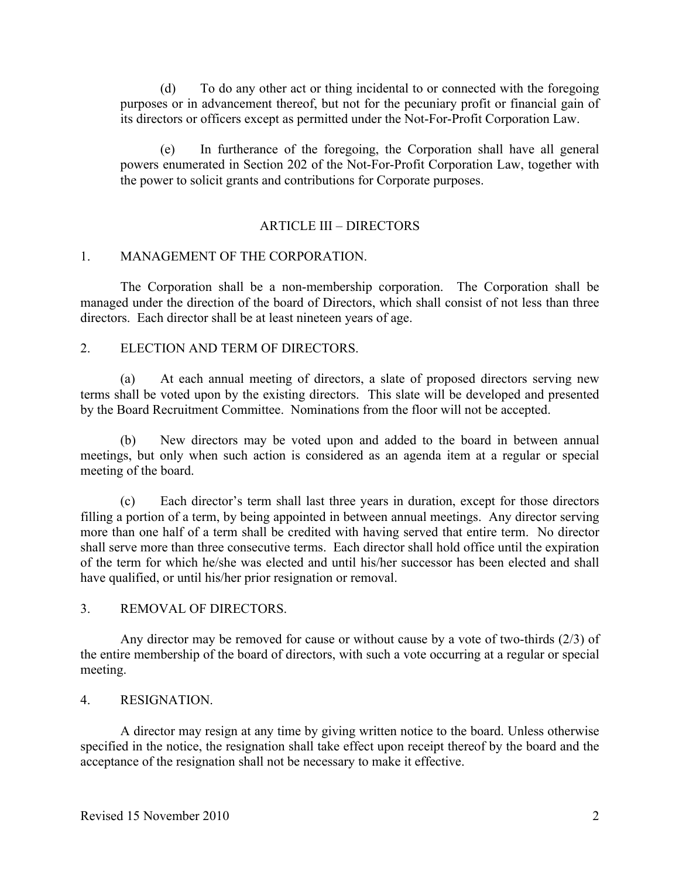(d) To do any other act or thing incidental to or connected with the foregoing purposes or in advancement thereof, but not for the pecuniary profit or financial gain of its directors or officers except as permitted under the Not-For-Profit Corporation Law.

(e) In furtherance of the foregoing, the Corporation shall have all general powers enumerated in Section 202 of the Not-For-Profit Corporation Law, together with the power to solicit grants and contributions for Corporate purposes.

### ARTICLE III – DIRECTORS

### 1. MANAGEMENT OF THE CORPORATION.

The Corporation shall be a non-membership corporation. The Corporation shall be managed under the direction of the board of Directors, which shall consist of not less than three directors. Each director shall be at least nineteen years of age.

### 2. ELECTION AND TERM OF DIRECTORS.

(a) At each annual meeting of directors, a slate of proposed directors serving new terms shall be voted upon by the existing directors. This slate will be developed and presented by the Board Recruitment Committee. Nominations from the floor will not be accepted.

(b) New directors may be voted upon and added to the board in between annual meetings, but only when such action is considered as an agenda item at a regular or special meeting of the board.

(c) Each director's term shall last three years in duration, except for those directors filling a portion of a term, by being appointed in between annual meetings. Any director serving more than one half of a term shall be credited with having served that entire term. No director shall serve more than three consecutive terms. Each director shall hold office until the expiration of the term for which he/she was elected and until his/her successor has been elected and shall have qualified, or until his/her prior resignation or removal.

### 3. REMOVAL OF DIRECTORS.

Any director may be removed for cause or without cause by a vote of two-thirds (2/3) of the entire membership of the board of directors, with such a vote occurring at a regular or special meeting.

### 4. RESIGNATION.

A director may resign at any time by giving written notice to the board. Unless otherwise specified in the notice, the resignation shall take effect upon receipt thereof by the board and the acceptance of the resignation shall not be necessary to make it effective.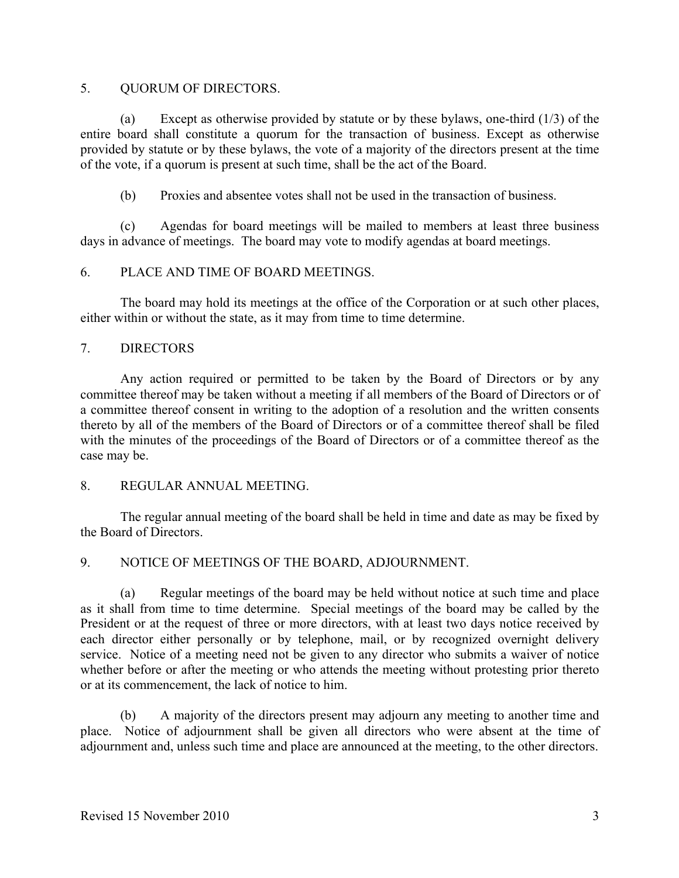# 5. OUORUM OF DIRECTORS.

(a) Except as otherwise provided by statute or by these bylaws, one-third (1/3) of the entire board shall constitute a quorum for the transaction of business. Except as otherwise provided by statute or by these bylaws, the vote of a majority of the directors present at the time of the vote, if a quorum is present at such time, shall be the act of the Board.

(b) Proxies and absentee votes shall not be used in the transaction of business.

(c) Agendas for board meetings will be mailed to members at least three business days in advance of meetings. The board may vote to modify agendas at board meetings.

# 6. PLACE AND TIME OF BOARD MEETINGS.

The board may hold its meetings at the office of the Corporation or at such other places, either within or without the state, as it may from time to time determine.

# 7. DIRECTORS

Any action required or permitted to be taken by the Board of Directors or by any committee thereof may be taken without a meeting if all members of the Board of Directors or of a committee thereof consent in writing to the adoption of a resolution and the written consents thereto by all of the members of the Board of Directors or of a committee thereof shall be filed with the minutes of the proceedings of the Board of Directors or of a committee thereof as the case may be.

8. REGULAR ANNUAL MEETING.

The regular annual meeting of the board shall be held in time and date as may be fixed by the Board of Directors.

# 9. NOTICE OF MEETINGS OF THE BOARD, ADJOURNMENT.

(a) Regular meetings of the board may be held without notice at such time and place as it shall from time to time determine. Special meetings of the board may be called by the President or at the request of three or more directors, with at least two days notice received by each director either personally or by telephone, mail, or by recognized overnight delivery service. Notice of a meeting need not be given to any director who submits a waiver of notice whether before or after the meeting or who attends the meeting without protesting prior thereto or at its commencement, the lack of notice to him.

(b) A majority of the directors present may adjourn any meeting to another time and place. Notice of adjournment shall be given all directors who were absent at the time of adjournment and, unless such time and place are announced at the meeting, to the other directors.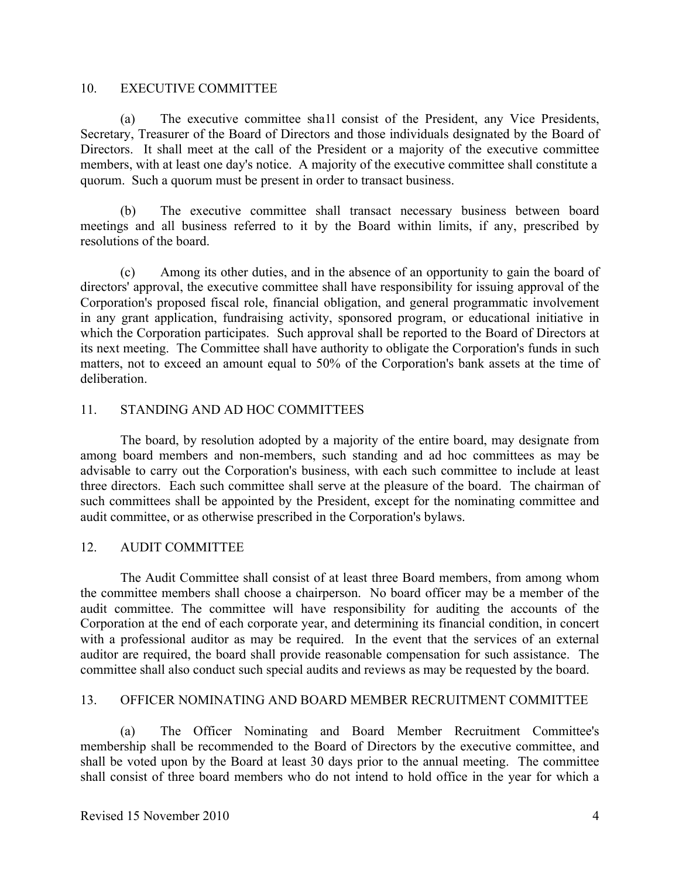### 10. EXECUTIVE COMMITTEE

(a) The executive committee sha1l consist of the President, any Vice Presidents, Secretary, Treasurer of the Board of Directors and those individuals designated by the Board of Directors. It shall meet at the call of the President or a majority of the executive committee members, with at least one day's notice. A majority of the executive committee shall constitute a quorum. Such a quorum must be present in order to transact business.

(b) The executive committee shall transact necessary business between board meetings and all business referred to it by the Board within limits, if any, prescribed by resolutions of the board.

(c) Among its other duties, and in the absence of an opportunity to gain the board of directors' approval, the executive committee shall have responsibility for issuing approval of the Corporation's proposed fiscal role, financial obligation, and general programmatic involvement in any grant application, fundraising activity, sponsored program, or educational initiative in which the Corporation participates. Such approval shall be reported to the Board of Directors at its next meeting. The Committee shall have authority to obligate the Corporation's funds in such matters, not to exceed an amount equal to 50% of the Corporation's bank assets at the time of deliberation.

### 11. STANDING AND AD HOC COMMITTEES

The board, by resolution adopted by a majority of the entire board, may designate from among board members and non-members, such standing and ad hoc committees as may be advisable to carry out the Corporation's business, with each such committee to include at least three directors. Each such committee shall serve at the pleasure of the board. The chairman of such committees shall be appointed by the President, except for the nominating committee and audit committee, or as otherwise prescribed in the Corporation's bylaws.

### 12. AUDIT COMMITTEE

The Audit Committee shall consist of at least three Board members, from among whom the committee members shall choose a chairperson. No board officer may be a member of the audit committee. The committee will have responsibility for auditing the accounts of the Corporation at the end of each corporate year, and determining its financial condition, in concert with a professional auditor as may be required. In the event that the services of an external auditor are required, the board shall provide reasonable compensation for such assistance. The committee shall also conduct such special audits and reviews as may be requested by the board.

### 13. OFFICER NOMINATING AND BOARD MEMBER RECRUITMENT COMMITTEE

(a) The Officer Nominating and Board Member Recruitment Committee's membership shall be recommended to the Board of Directors by the executive committee, and shall be voted upon by the Board at least 30 days prior to the annual meeting. The committee shall consist of three board members who do not intend to hold office in the year for which a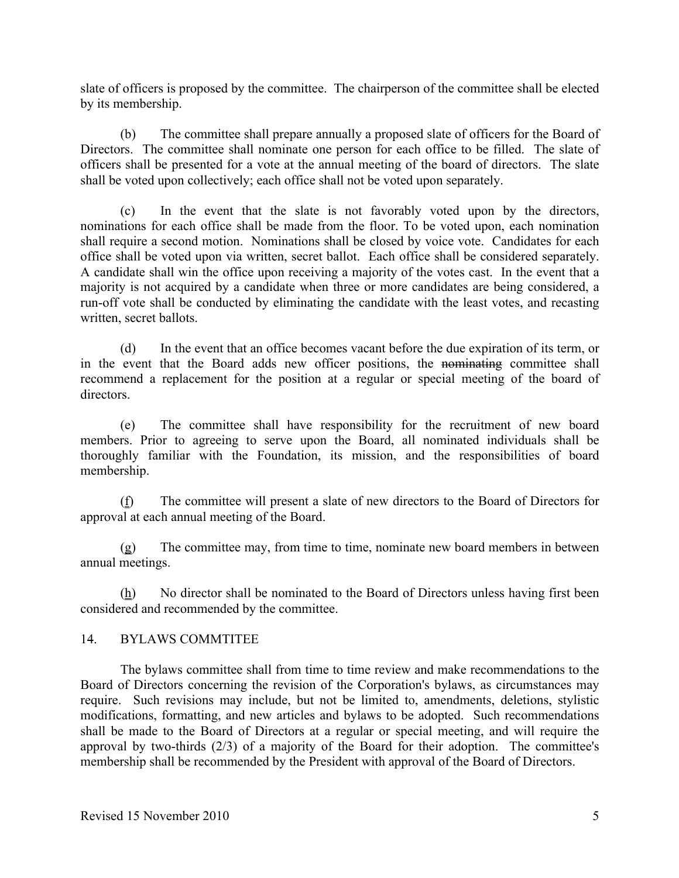slate of officers is proposed by the committee. The chairperson of the committee shall be elected by its membership.

(b) The committee shall prepare annually a proposed slate of officers for the Board of Directors. The committee shall nominate one person for each office to be filled. The slate of officers shall be presented for a vote at the annual meeting of the board of directors. The slate shall be voted upon collectively; each office shall not be voted upon separately.

(c) In the event that the slate is not favorably voted upon by the directors, nominations for each office shall be made from the floor. To be voted upon, each nomination shall require a second motion. Nominations shall be closed by voice vote. Candidates for each office shall be voted upon via written, secret ballot. Each office shall be considered separately. A candidate shall win the office upon receiving a majority of the votes cast. In the event that a majority is not acquired by a candidate when three or more candidates are being considered, a run-off vote shall be conducted by eliminating the candidate with the least votes, and recasting written, secret ballots.

(d) In the event that an office becomes vacant before the due expiration of its term, or in the event that the Board adds new officer positions, the nominating committee shall recommend a replacement for the position at a regular or special meeting of the board of directors.

(e) The committee shall have responsibility for the recruitment of new board members. Prior to agreeing to serve upon the Board, all nominated individuals shall be thoroughly familiar with the Foundation, its mission, and the responsibilities of board membership.

(f) The committee will present a slate of new directors to the Board of Directors for approval at each annual meeting of the Board.

(g) The committee may, from time to time, nominate new board members in between annual meetings.

(h) No director shall be nominated to the Board of Directors unless having first been considered and recommended by the committee.

# 14. BYLAWS COMMTITEE

The bylaws committee shall from time to time review and make recommendations to the Board of Directors concerning the revision of the Corporation's bylaws, as circumstances may require. Such revisions may include, but not be limited to, amendments, deletions, stylistic modifications, formatting, and new articles and bylaws to be adopted. Such recommendations shall be made to the Board of Directors at a regular or special meeting, and will require the approval by two-thirds (2/3) of a majority of the Board for their adoption. The committee's membership shall be recommended by the President with approval of the Board of Directors.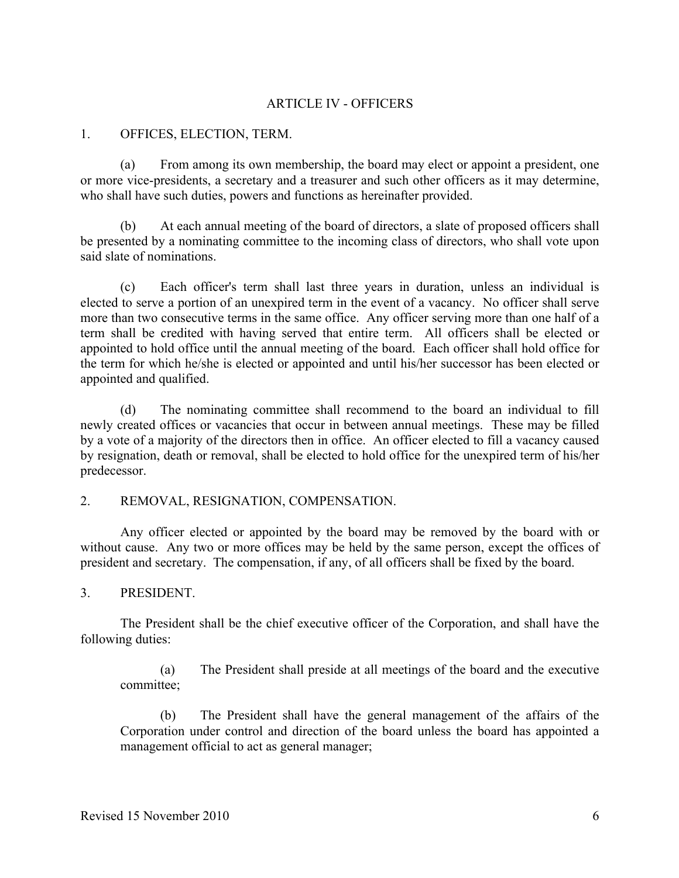## ARTICLE IV - OFFICERS

#### 1. OFFICES, ELECTION, TERM.

(a) From among its own membership, the board may elect or appoint a president, one or more vice-presidents, a secretary and a treasurer and such other officers as it may determine, who shall have such duties, powers and functions as hereinafter provided.

(b) At each annual meeting of the board of directors, a slate of proposed officers shall be presented by a nominating committee to the incoming class of directors, who shall vote upon said slate of nominations.

(c) Each officer's term shall last three years in duration, unless an individual is elected to serve a portion of an unexpired term in the event of a vacancy. No officer shall serve more than two consecutive terms in the same office. Any officer serving more than one half of a term shall be credited with having served that entire term. All officers shall be elected or appointed to hold office until the annual meeting of the board. Each officer shall hold office for the term for which he/she is elected or appointed and until his/her successor has been elected or appointed and qualified.

(d) The nominating committee shall recommend to the board an individual to fill newly created offices or vacancies that occur in between annual meetings. These may be filled by a vote of a majority of the directors then in office. An officer elected to fill a vacancy caused by resignation, death or removal, shall be elected to hold office for the unexpired term of his/her predecessor.

### 2. REMOVAL, RESIGNATION, COMPENSATION.

Any officer elected or appointed by the board may be removed by the board with or without cause. Any two or more offices may be held by the same person, except the offices of president and secretary. The compensation, if any, of all officers shall be fixed by the board.

### 3. PRESIDENT.

The President shall be the chief executive officer of the Corporation, and shall have the following duties:

(a) The President shall preside at all meetings of the board and the executive committee;

(b) The President shall have the general management of the affairs of the Corporation under control and direction of the board unless the board has appointed a management official to act as general manager;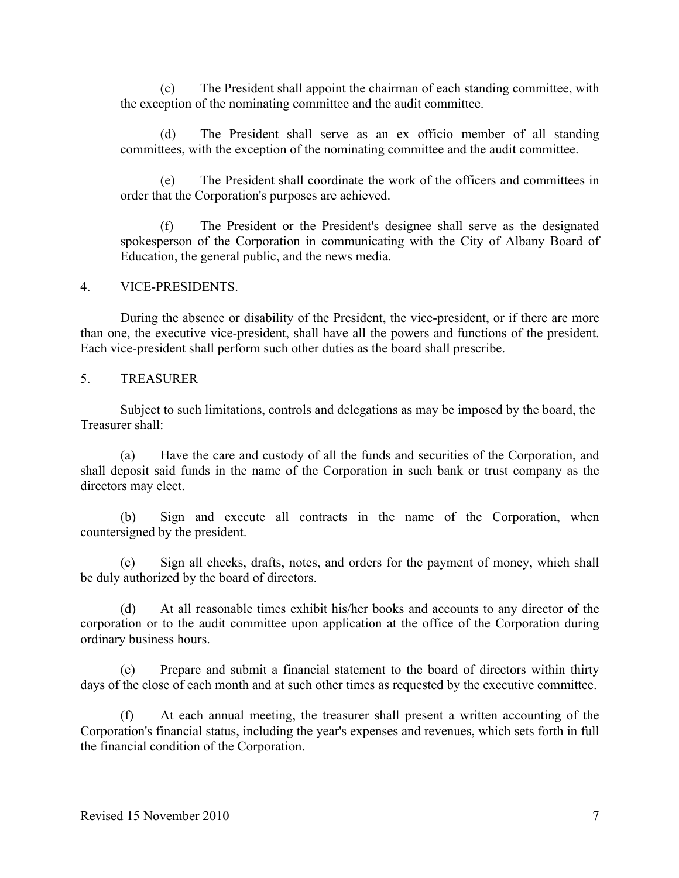(c) The President shall appoint the chairman of each standing committee, with the exception of the nominating committee and the audit committee.

(d) The President shall serve as an ex officio member of all standing committees, with the exception of the nominating committee and the audit committee.

(e) The President shall coordinate the work of the officers and committees in order that the Corporation's purposes are achieved.

(f) The President or the President's designee shall serve as the designated spokesperson of the Corporation in communicating with the City of Albany Board of Education, the general public, and the news media.

### 4. VICE-PRESIDENTS.

During the absence or disability of the President, the vice-president, or if there are more than one, the executive vice-president, shall have all the powers and functions of the president. Each vice-president shall perform such other duties as the board shall prescribe.

### 5. TREASURER

Subject to such limitations, controls and delegations as may be imposed by the board, the Treasurer shall:

(a) Have the care and custody of all the funds and securities of the Corporation, and shall deposit said funds in the name of the Corporation in such bank or trust company as the directors may elect.

(b) Sign and execute all contracts in the name of the Corporation, when countersigned by the president.

(c) Sign all checks, drafts, notes, and orders for the payment of money, which shall be duly authorized by the board of directors.

(d) At all reasonable times exhibit his/her books and accounts to any director of the corporation or to the audit committee upon application at the office of the Corporation during ordinary business hours.

(e) Prepare and submit a financial statement to the board of directors within thirty days of the close of each month and at such other times as requested by the executive committee.

(f) At each annual meeting, the treasurer shall present a written accounting of the Corporation's financial status, including the year's expenses and revenues, which sets forth in full the financial condition of the Corporation.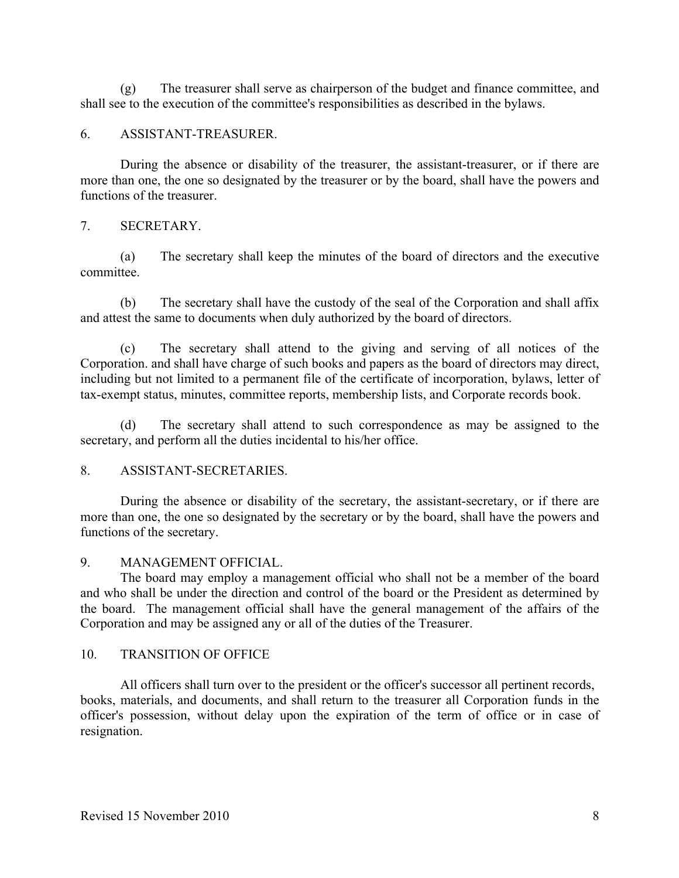(g) The treasurer shall serve as chairperson of the budget and finance committee, and shall see to the execution of the committee's responsibilities as described in the bylaws.

## 6. ASSISTANT-TREASURER.

During the absence or disability of the treasurer, the assistant-treasurer, or if there are more than one, the one so designated by the treasurer or by the board, shall have the powers and functions of the treasurer.

## 7. SECRETARY.

(a) The secretary shall keep the minutes of the board of directors and the executive committee.

(b) The secretary shall have the custody of the seal of the Corporation and shall affix and attest the same to documents when duly authorized by the board of directors.

(c) The secretary shall attend to the giving and serving of all notices of the Corporation. and shall have charge of such books and papers as the board of directors may direct, including but not limited to a permanent file of the certificate of incorporation, bylaws, letter of tax-exempt status, minutes, committee reports, membership lists, and Corporate records book.

(d) The secretary shall attend to such correspondence as may be assigned to the secretary, and perform all the duties incidental to his/her office.

# 8. ASSISTANT-SECRETARIES.

During the absence or disability of the secretary, the assistant-secretary, or if there are more than one, the one so designated by the secretary or by the board, shall have the powers and functions of the secretary.

### 9. MANAGEMENT OFFICIAL.

The board may employ a management official who shall not be a member of the board and who shall be under the direction and control of the board or the President as determined by the board. The management official shall have the general management of the affairs of the Corporation and may be assigned any or all of the duties of the Treasurer.

### 10. TRANSITION OF OFFICE

All officers shall turn over to the president or the officer's successor all pertinent records, books, materials, and documents, and shall return to the treasurer all Corporation funds in the officer's possession, without delay upon the expiration of the term of office or in case of resignation.